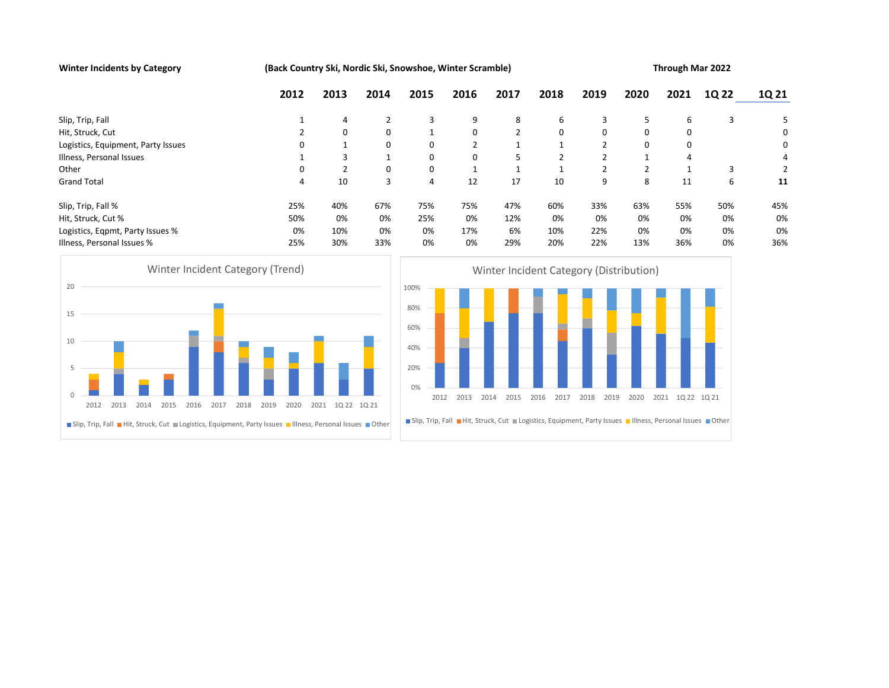Winter Incidents by Category **(Back Country Ski, Nordic Ski, Snowshoe, Winter Scramble)** Through Mar 2022



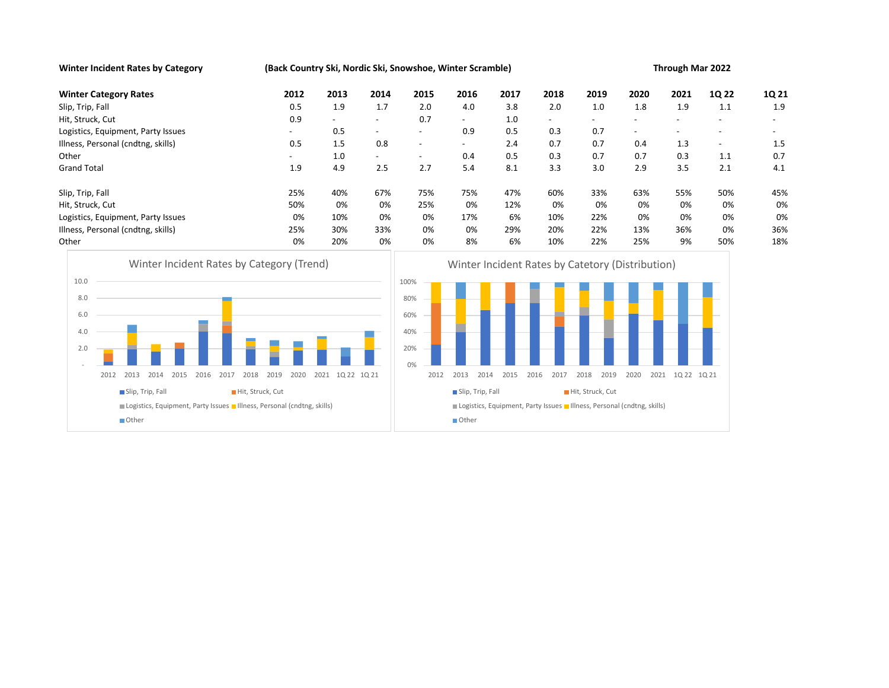Winter Incident Rates by Category (Back Country Ski, Nordic Ski, Snowshoe, Winter Scramble) Through Mar 2022

| <b>Winter Category Rates</b>                                                                                                                                                                                                                                              | 2012                     | 2013             | 2014                            | 2015                                           | 2016                              | 2017         | 2018                                                                                                                                      | 2019                             | 2020                            | 2021 | 1Q 22                    | 1Q 21                           |
|---------------------------------------------------------------------------------------------------------------------------------------------------------------------------------------------------------------------------------------------------------------------------|--------------------------|------------------|---------------------------------|------------------------------------------------|-----------------------------------|--------------|-------------------------------------------------------------------------------------------------------------------------------------------|----------------------------------|---------------------------------|------|--------------------------|---------------------------------|
| Slip, Trip, Fall<br>Hit, Struck, Cut                                                                                                                                                                                                                                      | 0.5<br>0.9               | 1.9              | 1.7<br>$\overline{\phantom{a}}$ | 2.0<br>0.7                                     | 4.0<br>$\overline{\phantom{a}}$   | 3.8<br>1.0   | 2.0                                                                                                                                       | 1.0<br>$\overline{\phantom{a}}$  | 1.8<br>$\overline{\phantom{a}}$ | 1.9  | 1.1                      | 1.9<br>$\overline{\phantom{a}}$ |
| Logistics, Equipment, Party Issues                                                                                                                                                                                                                                        | $ \,$                    | 0.5              | $\overline{\phantom{0}}$        | $\overline{\phantom{a}}$                       | 0.9                               | 0.5          | 0.3                                                                                                                                       | 0.7                              | $\overline{\phantom{a}}$        |      | $\overline{\phantom{a}}$ |                                 |
| Illness, Personal (cndtng, skills)                                                                                                                                                                                                                                        | 0.5                      | 1.5              | 0.8                             | $\overline{\phantom{a}}$                       | $\overline{\phantom{a}}$          | 2.4          | 0.7                                                                                                                                       | 0.7                              | 0.4                             | 1.3  | $\overline{\phantom{a}}$ | 1.5                             |
| Other                                                                                                                                                                                                                                                                     | $\overline{\phantom{a}}$ | 1.0              |                                 | $\overline{\phantom{a}}$                       | 0.4                               | 0.5          | 0.3                                                                                                                                       | 0.7                              | 0.7                             | 0.3  | 1.1                      | 0.7                             |
| <b>Grand Total</b>                                                                                                                                                                                                                                                        | 1.9                      | 4.9              | 2.5                             | 2.7                                            | 5.4                               | 8.1          | 3.3                                                                                                                                       | 3.0                              | 2.9                             | 3.5  | 2.1                      | 4.1                             |
| Slip, Trip, Fall                                                                                                                                                                                                                                                          | 25%                      | 40%              | 67%                             | 75%                                            | 75%                               | 47%          | 60%                                                                                                                                       | 33%                              | 63%                             | 55%  | 50%                      | 45%                             |
| Hit, Struck, Cut                                                                                                                                                                                                                                                          | 50%                      | 0%               | 0%                              | 25%                                            | 0%                                | 12%          | 0%                                                                                                                                        | 0%                               | 0%                              | 0%   | 0%                       | 0%                              |
| Logistics, Equipment, Party Issues                                                                                                                                                                                                                                        | 0%                       | 10%              | 0%                              | 0%                                             | 17%                               | 6%           | 10%                                                                                                                                       | 22%                              | 0%                              | 0%   | 0%                       | 0%                              |
| Illness, Personal (cndtng, skills)                                                                                                                                                                                                                                        | 25%                      | 30%              | 33%                             | 0%                                             | 0%                                | 29%          | 20%                                                                                                                                       | 22%                              | 13%                             | 36%  | 0%                       | 36%                             |
| Other                                                                                                                                                                                                                                                                     | 0%                       | 20%              | 0%                              | 0%                                             | 8%                                | 6%           | 10%                                                                                                                                       | 22%                              | 25%                             | 9%   | 50%                      | 18%                             |
| Winter Incident Rates by Category (Trend)<br>10.0<br>8.0<br>6.0<br>4.0<br>2.0<br>2014<br>2015<br>2016<br>2017<br>2018<br>2019<br>2012<br>2013<br>Hit, Struck, Cut<br>Slip, Trip, Fall<br>Logistics, Equipment, Party Issues IIIness, Personal (cndtng, skills)<br>■ Other | 2020                     | 2021 10 22 10 21 |                                 | 100%<br>80%<br>60%<br>40%<br>20%<br>0%<br>2012 | 2013<br>Slip, Trip, Fall<br>Other | 2014<br>2015 | Winter Incident Rates by Catetory (Distribution)<br>2016<br>2017<br>Logistics, Equipment, Party Issues IIIness, Personal (cndtng, skills) | 2018<br>2019<br>Hit, Struck, Cut | 2020                            | 2021 | 1Q 22 1Q 21              |                                 |



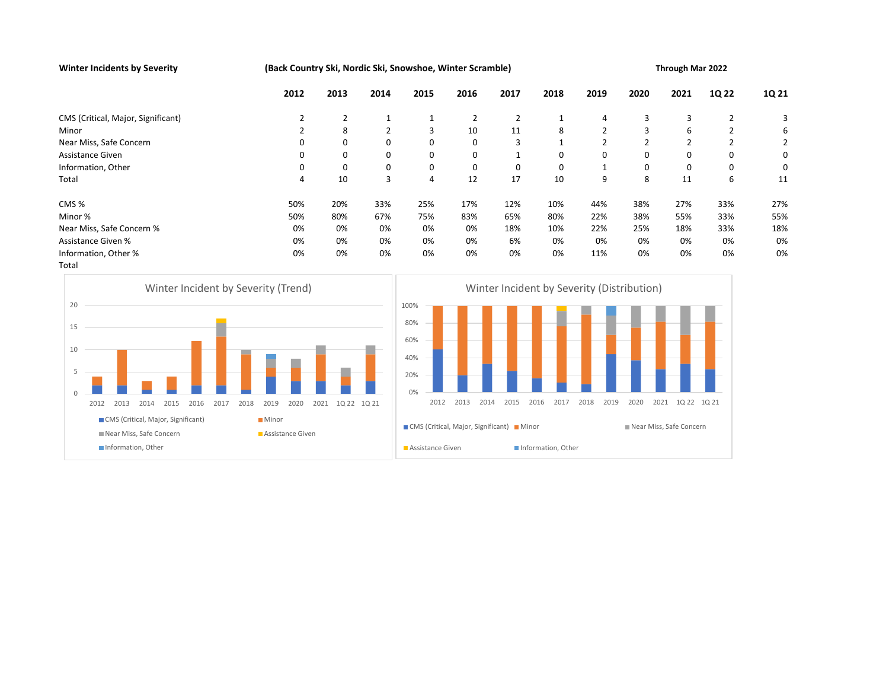Winter Incidents by Severity **(Back Country Ski, Nordic Ski, Snowshoe, Winter Scramble)** Through Mar 2022

|                                                             | 2012                 | 2013                | 2014                                                                | 2015             | 2016                                       | 2017           | 2018               | 2019           | 2020         |                | 2021<br>1Q 22    | 1Q 21               |  |
|-------------------------------------------------------------|----------------------|---------------------|---------------------------------------------------------------------|------------------|--------------------------------------------|----------------|--------------------|----------------|--------------|----------------|------------------|---------------------|--|
| CMS (Critical, Major, Significant)                          | $\overline{2}$       | $\overline{2}$      | 1                                                                   | $\mathbf{1}$     | $\overline{2}$                             | $\overline{2}$ | 1                  | 4              |              | 3              | 3                | $\overline{2}$<br>3 |  |
| Minor                                                       | $\overline{2}$       | 8                   | $\overline{2}$                                                      | 3                | 10                                         | 11             | 8                  | $\overline{2}$ |              | 3              | 6                | $\overline{2}$<br>6 |  |
| Near Miss, Safe Concern                                     | 0                    | 0                   | 0                                                                   | 0                | $\mathbf 0$                                | 3              | 1                  | $\overline{2}$ |              | $\overline{2}$ | $\overline{2}$   | $\overline{2}$<br>2 |  |
| Assistance Given                                            | 0                    | 0                   | 0                                                                   | 0                | 0                                          | 1              | 0                  | 0              |              | 0              | 0                | 0<br>0              |  |
| Information, Other                                          | 0                    | $\mathbf 0$         | 0                                                                   | 0                | 0                                          | 0              | $\mathbf 0$        | 1              |              | 0              | 0                | 0<br>0              |  |
| Total                                                       | 4                    | 10                  | 3                                                                   | 4                | 12                                         | 17             | 10                 | 9              |              | 8              | 11               | 6<br>11             |  |
| CMS%                                                        | 50%                  | 20%                 | 33%                                                                 | 25%              | 17%                                        | 12%            | 10%                | 44%            | 38%          |                | 27%              | 27%<br>33%          |  |
| Minor %                                                     | 50%                  | 80%                 | 67%                                                                 | 75%              | 83%                                        | 65%            | 80%                | 22%            | 38%          |                | 55%              | 33%<br>55%          |  |
| Near Miss, Safe Concern %                                   | 0%                   | 0%                  | 0%                                                                  | 0%               | 0%                                         | 18%            | 10%                | 22%            | 25%          |                | 18%              | 33%<br>18%          |  |
| <b>Assistance Given %</b>                                   | 0%                   | 0%                  | 0%                                                                  | 0%               | 0%                                         | 6%             | 0%                 | 0%             | 0%           |                | 0%               | 0%<br>0%            |  |
| Information, Other %                                        | 0%                   | 0%                  | 0%                                                                  | 0%               | 0%                                         | 0%             | 0%                 | 11%            | 0%           |                | 0%               | 0%<br>0%            |  |
| Total                                                       |                      |                     |                                                                     |                  |                                            |                |                    |                |              |                |                  |                     |  |
| Winter Incident by Severity (Trend)                         |                      |                     |                                                                     |                  | Winter Incident by Severity (Distribution) |                |                    |                |              |                |                  |                     |  |
| 20                                                          |                      |                     |                                                                     | 100%             |                                            |                |                    |                |              |                |                  |                     |  |
| 15                                                          |                      |                     |                                                                     | 80%              |                                            |                |                    |                |              |                |                  |                     |  |
|                                                             |                      |                     |                                                                     | 60%              |                                            |                |                    |                |              |                |                  |                     |  |
| 10                                                          |                      |                     |                                                                     |                  |                                            |                |                    |                |              |                |                  |                     |  |
|                                                             |                      |                     |                                                                     | 40%              |                                            |                |                    |                |              |                |                  |                     |  |
| 5                                                           |                      |                     |                                                                     | 20%              |                                            |                |                    |                |              |                |                  |                     |  |
|                                                             |                      |                     |                                                                     |                  |                                            |                |                    |                |              |                |                  |                     |  |
| $\mathbf 0$<br>2013<br>2012<br>2014<br>2015<br>2016<br>2017 | 2020<br>2018<br>2019 | 2021<br>10 22 10 21 |                                                                     | 0%<br>2012       | 2013                                       | 2015<br>2014   | 2016<br>2017       | 2018           | 2019<br>2020 |                | 2021 10 22 10 21 |                     |  |
| CMS (Critical, Major, Significant)                          | Minor                |                     |                                                                     |                  |                                            |                |                    |                |              |                |                  |                     |  |
| Near Miss, Safe Concern<br>Assistance Given                 |                      |                     | CMS (Critical, Major, Significant) Minor<br>Near Miss, Safe Concern |                  |                                            |                |                    |                |              |                |                  |                     |  |
| Information, Other                                          |                      |                     |                                                                     | Assistance Given |                                            |                | Information, Other |                |              |                |                  |                     |  |
|                                                             |                      |                     |                                                                     |                  |                                            |                |                    |                |              |                |                  |                     |  |